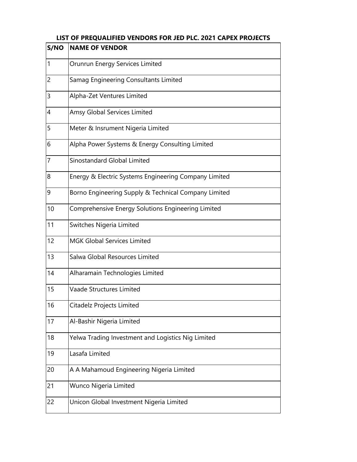| S/NO           | <b>NAME OF VENDOR</b>                                 |
|----------------|-------------------------------------------------------|
| $\vert$ 1      | Orunrun Energy Services Limited                       |
| $\overline{2}$ | Samag Engineering Consultants Limited                 |
| 3              | Alpha-Zet Ventures Limited                            |
| $\overline{4}$ | Amsy Global Services Limited                          |
| 5              | Meter & Insrument Nigeria Limited                     |
| 6              | Alpha Power Systems & Energy Consulting Limited       |
| $\overline{7}$ | Sinostandard Global Limited                           |
| 8              | Energy & Electric Systems Engineering Company Limited |
| $\overline{9}$ | Borno Engineering Supply & Technical Company Limited  |
| 10             | Comprehensive Energy Solutions Engineering Limited    |
| 11             | Switches Nigeria Limited                              |
| 12             | MGK Global Services Limited                           |
| 13             | Salwa Global Resources Limited                        |
| 14             | Alharamain Technologies Limited                       |
| 15             | Vaade Structures Limited                              |
| 16             | Citadelz Projects Limited                             |
| 17             | Al-Bashir Nigeria Limited                             |
| 18             | Yelwa Trading Investment and Logistics Nig Limited    |
| 19             | Lasafa Limited                                        |
| 20             | A A Mahamoud Engineering Nigeria Limited              |
| 21             | Wunco Nigeria Limited                                 |
| 22             | Unicon Global Investment Nigeria Limited              |

## **LIST OF PREQUALIFIED VENDORS FOR JED PLC. 2021 CAPEX PROJECTS**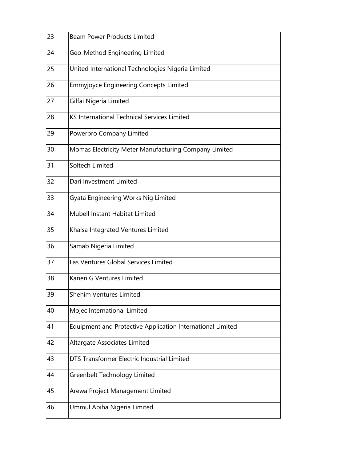| 23 | <b>Beam Power Products Limited</b>                         |
|----|------------------------------------------------------------|
| 24 | Geo-Method Engineering Limited                             |
| 25 | United International Technologies Nigeria Limited          |
| 26 | <b>Emmyjoyce Engineering Concepts Limited</b>              |
| 27 | Gilfai Nigeria Limited                                     |
| 28 | KS International Technical Services Limited                |
| 29 | Powerpro Company Limited                                   |
| 30 | Momas Electricity Meter Manufacturing Company Limited      |
| 31 | Soltech Limited                                            |
| 32 | Dari Investment Limited                                    |
| 33 | Gyata Engineering Works Nig Limited                        |
| 34 | Mubell Instant Habitat Limited                             |
| 35 | Khalsa Integrated Ventures Limited                         |
| 36 | Samab Nigeria Limited                                      |
| 37 | Las Ventures Global Services Limited                       |
| 38 | Kanen G Ventures Limited                                   |
| 39 | Shehim Ventures Limited                                    |
| 40 | Mojec International Limited                                |
| 41 | Equipment and Protective Application International Limited |
| 42 | Altargate Associates Limited                               |
| 43 | DTS Transformer Electric Industrial Limited                |
| 44 | Greenbelt Technology Limited                               |
| 45 | Arewa Project Management Limited                           |
| 46 | Ummul Abiha Nigeria Limited                                |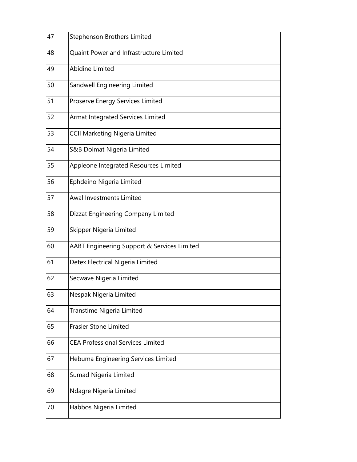| 47 | Stephenson Brothers Limited                 |
|----|---------------------------------------------|
| 48 | Quaint Power and Infrastructure Limited     |
| 49 | Abidine Limited                             |
| 50 | Sandwell Engineering Limited                |
| 51 | Proserve Energy Services Limited            |
| 52 | Armat Integrated Services Limited           |
| 53 | <b>CCII Marketing Nigeria Limited</b>       |
| 54 | S&B Dolmat Nigeria Limited                  |
| 55 | Appleone Integrated Resources Limited       |
| 56 | Ephdeino Nigeria Limited                    |
| 57 | Awal Investments Limited                    |
| 58 | Dizzat Engineering Company Limited          |
| 59 | Skipper Nigeria Limited                     |
| 60 | AABT Engineering Support & Services Limited |
| 61 | Detex Electrical Nigeria Limited            |
| 62 | Secwave Nigeria Limited                     |
| 63 | Nespak Nigeria Limited                      |
| 64 | Transtime Nigeria Limited                   |
| 65 | <b>Frasier Stone Limited</b>                |
| 66 | <b>CEA Professional Services Limited</b>    |
| 67 | Hebuma Engineering Services Limited         |
| 68 | Sumad Nigeria Limited                       |
| 69 | Ndagre Nigeria Limited                      |
| 70 | Habbos Nigeria Limited                      |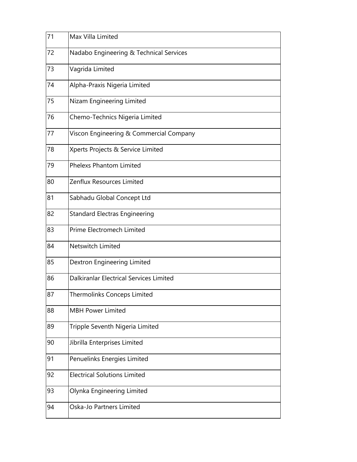| 71 | Max Villa Limited                              |
|----|------------------------------------------------|
| 72 | Nadabo Engineering & Technical Services        |
| 73 | Vagrida Limited                                |
| 74 | Alpha-Praxis Nigeria Limited                   |
| 75 | Nizam Engineering Limited                      |
| 76 | Chemo-Technics Nigeria Limited                 |
| 77 | Viscon Engineering & Commercial Company        |
| 78 | Xperts Projects & Service Limited              |
| 79 | <b>Phelexs Phantom Limited</b>                 |
| 80 | Zenflux Resources Limited                      |
| 81 | Sabhadu Global Concept Ltd                     |
| 82 | <b>Standard Electras Engineering</b>           |
| 83 | Prime Electromech Limited                      |
| 84 | Netswitch Limited                              |
| 85 | Dextron Engineering Limited                    |
| 86 | <b>Dalkiranlar Electrical Services Limited</b> |
| 87 | Thermolinks Conceps Limited                    |
| 88 | <b>MBH Power Limited</b>                       |
| 89 | Tripple Seventh Nigeria Limited                |
| 90 | Jibrilla Enterprises Limited                   |
| 91 | Penuelinks Energies Limited                    |
| 92 | <b>Electrical Solutions Limited</b>            |
| 93 | Olynka Engineering Limited                     |
| 94 | Oska-Jo Partners Limited                       |